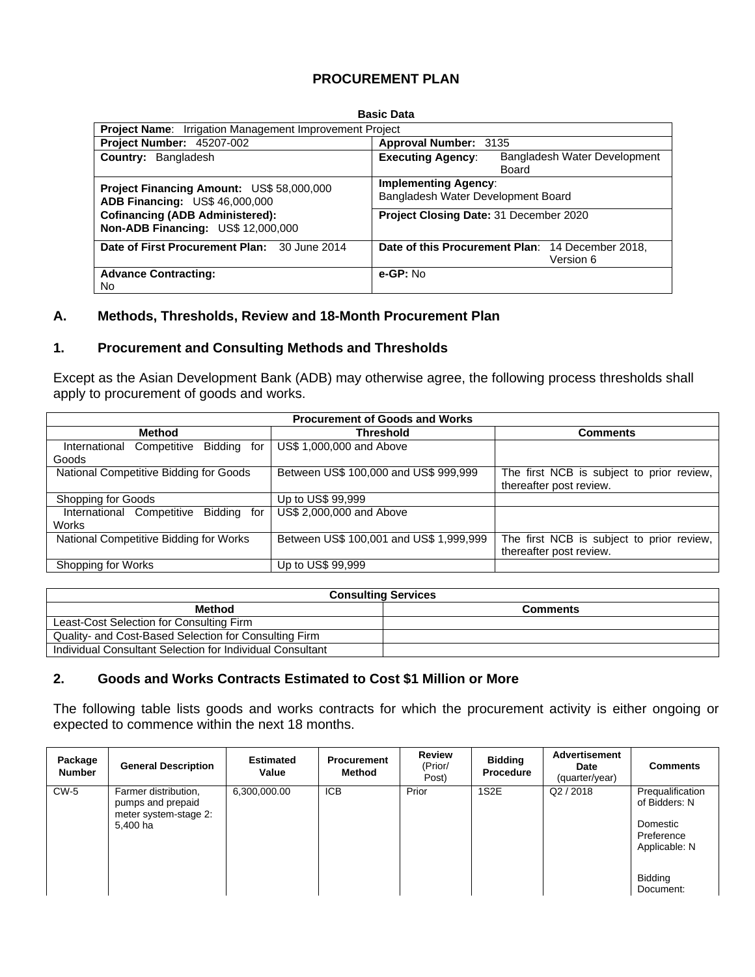# **PROCUREMENT PLAN**

#### **Basic Data**

| <b>Project Name:</b> Irrigation Management Improvement Project                      |                                                                   |  |  |
|-------------------------------------------------------------------------------------|-------------------------------------------------------------------|--|--|
| Project Number: 45207-002                                                           | Approval Number: 3135                                             |  |  |
| <b>Country: Bangladesh</b>                                                          | <b>Executing Agency:</b><br>Bangladesh Water Development<br>Board |  |  |
| Project Financing Amount: US\$ 58,000,000<br>ADB Financing: US\$ 46,000,000         | <b>Implementing Agency:</b><br>Bangladesh Water Development Board |  |  |
| <b>Cofinancing (ADB Administered):</b><br><b>Non-ADB Financing: US\$ 12,000,000</b> | Project Closing Date: 31 December 2020                            |  |  |
| Date of First Procurement Plan: 30 June 2014                                        | Date of this Procurement Plan: 14 December 2018,<br>Version 6     |  |  |
| <b>Advance Contracting:</b><br>No                                                   | $e$ -GP: No                                                       |  |  |

### **A. Methods, Thresholds, Review and 18-Month Procurement Plan**

## **1. Procurement and Consulting Methods and Thresholds**

Except as the Asian Development Bank (ADB) may otherwise agree, the following process thresholds shall apply to procurement of goods and works.

|                                                | <b>Procurement of Goods and Works</b>   |                                           |  |  |  |  |  |  |
|------------------------------------------------|-----------------------------------------|-------------------------------------------|--|--|--|--|--|--|
| <b>Method</b>                                  | <b>Threshold</b>                        | <b>Comments</b>                           |  |  |  |  |  |  |
| Bidding<br>International<br>Competitive<br>for | US\$ 1,000,000 and Above                |                                           |  |  |  |  |  |  |
| Goods                                          |                                         |                                           |  |  |  |  |  |  |
| National Competitive Bidding for Goods         | Between US\$ 100,000 and US\$ 999,999   | The first NCB is subject to prior review, |  |  |  |  |  |  |
|                                                |                                         | thereafter post review.                   |  |  |  |  |  |  |
| Shopping for Goods                             | Up to US\$ 99,999                       |                                           |  |  |  |  |  |  |
| Bidding<br>International Competitive<br>for    | US\$ 2,000,000 and Above                |                                           |  |  |  |  |  |  |
| Works                                          |                                         |                                           |  |  |  |  |  |  |
| National Competitive Bidding for Works         | Between US\$ 100,001 and US\$ 1,999,999 | The first NCB is subject to prior review, |  |  |  |  |  |  |
|                                                |                                         | thereafter post review.                   |  |  |  |  |  |  |
| Shopping for Works                             | Up to US\$ 99,999                       |                                           |  |  |  |  |  |  |

| <b>Consulting Services</b>                                |                 |  |  |  |  |
|-----------------------------------------------------------|-----------------|--|--|--|--|
| <b>Method</b>                                             | <b>Comments</b> |  |  |  |  |
| Least-Cost Selection for Consulting Firm                  |                 |  |  |  |  |
| Quality- and Cost-Based Selection for Consulting Firm     |                 |  |  |  |  |
| Individual Consultant Selection for Individual Consultant |                 |  |  |  |  |

## **2. Goods and Works Contracts Estimated to Cost \$1 Million or More**

The following table lists goods and works contracts for which the procurement activity is either ongoing or expected to commence within the next 18 months.

| Package<br><b>Number</b> | <b>General Description</b>                                                     | <b>Estimated</b><br>Value | <b>Procurement</b><br>Method | <b>Review</b><br>(Prior/<br>Post) | <b>Bidding</b><br><b>Procedure</b> | <b>Advertisement</b><br>Date<br>(quarter/year) | <b>Comments</b>                                                              |
|--------------------------|--------------------------------------------------------------------------------|---------------------------|------------------------------|-----------------------------------|------------------------------------|------------------------------------------------|------------------------------------------------------------------------------|
| $CW-5$                   | Farmer distribution,<br>pumps and prepaid<br>meter system-stage 2:<br>5.400 ha | 6,300,000.00              | <b>ICB</b>                   | Prior                             | 1S <sub>2</sub> E                  | Q2 / 2018                                      | Prequalification<br>of Bidders: N<br>Domestic<br>Preference<br>Applicable: N |
|                          |                                                                                |                           |                              |                                   |                                    |                                                | <b>Bidding</b><br>Document:                                                  |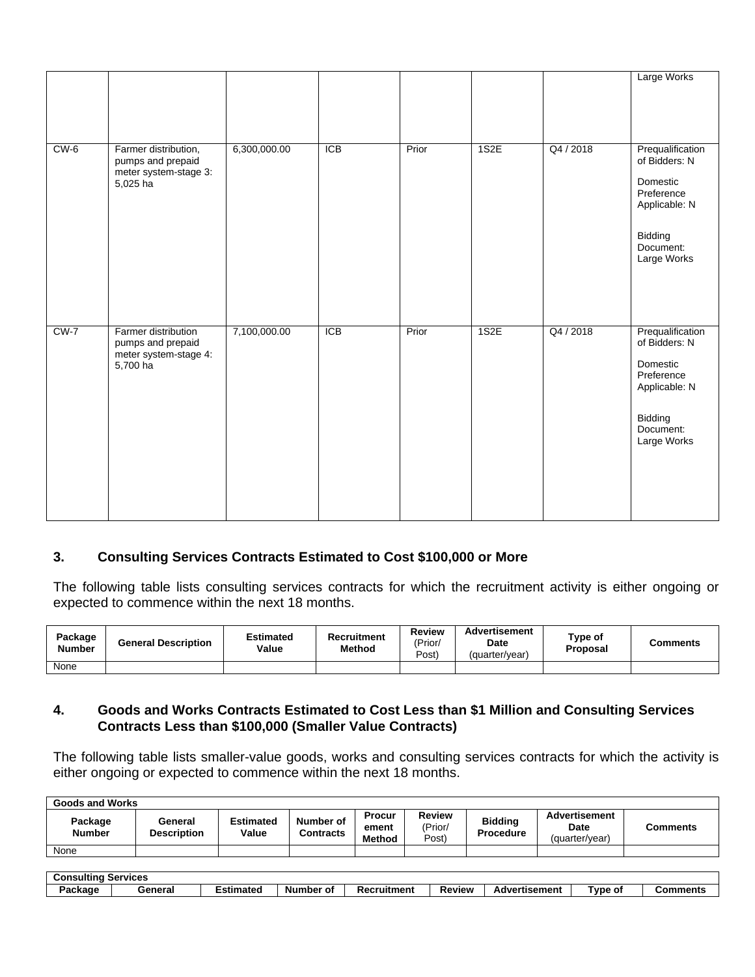|        |                                                                                |              |            |       |      |           | Large Works                                                                                                         |
|--------|--------------------------------------------------------------------------------|--------------|------------|-------|------|-----------|---------------------------------------------------------------------------------------------------------------------|
| $CW-6$ | Farmer distribution,<br>pumps and prepaid<br>meter system-stage 3:<br>5,025 ha | 6,300,000.00 | <b>ICB</b> | Prior | 1S2E | Q4 / 2018 | Prequalification<br>of Bidders: N<br>Domestic<br>Preference<br>Applicable: N<br>Bidding<br>Document:<br>Large Works |
| $CW-7$ | Farmer distribution<br>pumps and prepaid<br>meter system-stage 4:<br>5,700 ha  | 7,100,000.00 | <b>ICB</b> | Prior | 1S2E | Q4 / 2018 | Prequalification<br>of Bidders: N<br>Domestic<br>Preference<br>Applicable: N<br>Bidding<br>Document:<br>Large Works |

# **3. Consulting Services Contracts Estimated to Cost \$100,000 or More**

The following table lists consulting services contracts for which the recruitment activity is either ongoing or expected to commence within the next 18 months.

| Package<br><b>Number</b> | <b>General Description</b> | Estimated<br>Value | Recruitment<br><b>Method</b> | Review<br>'Prior<br>Post) | <b>Advertisement</b><br><b>Date</b><br>(quarter/year) | Type of<br>Proposal | <b>Comments</b> |
|--------------------------|----------------------------|--------------------|------------------------------|---------------------------|-------------------------------------------------------|---------------------|-----------------|
| None                     |                            |                    |                              |                           |                                                       |                     |                 |

## **4. Goods and Works Contracts Estimated to Cost Less than \$1 Million and Consulting Services Contracts Less than \$100,000 (Smaller Value Contracts)**

The following table lists smaller-value goods, works and consulting services contracts for which the activity is either ongoing or expected to commence within the next 18 months.

| <b>Goods and Works</b>   |                               |                           |                               |                           |                            |                                    |                                                |          |
|--------------------------|-------------------------------|---------------------------|-------------------------------|---------------------------|----------------------------|------------------------------------|------------------------------------------------|----------|
| Package<br><b>Number</b> | General<br><b>Description</b> | <b>Estimated</b><br>Value | Number of<br><b>Contracts</b> | Procur<br>ement<br>Method | Review<br>(Prior/<br>Post) | <b>Biddina</b><br><b>Procedure</b> | <b>Advertisement</b><br>Date<br>(quarter/vear) | Comments |
| None                     |                               |                           |                               |                           |                            |                                    |                                                |          |

| <b>Consulting</b> | <b>Services</b> |           |           |             |               |                      |         |          |
|-------------------|-----------------|-----------|-----------|-------------|---------------|----------------------|---------|----------|
| Package           | General         | Estimated | Number of | Recruitment | <b>Review</b> | 'ertisement<br>Adver | ™vpe of | Comments |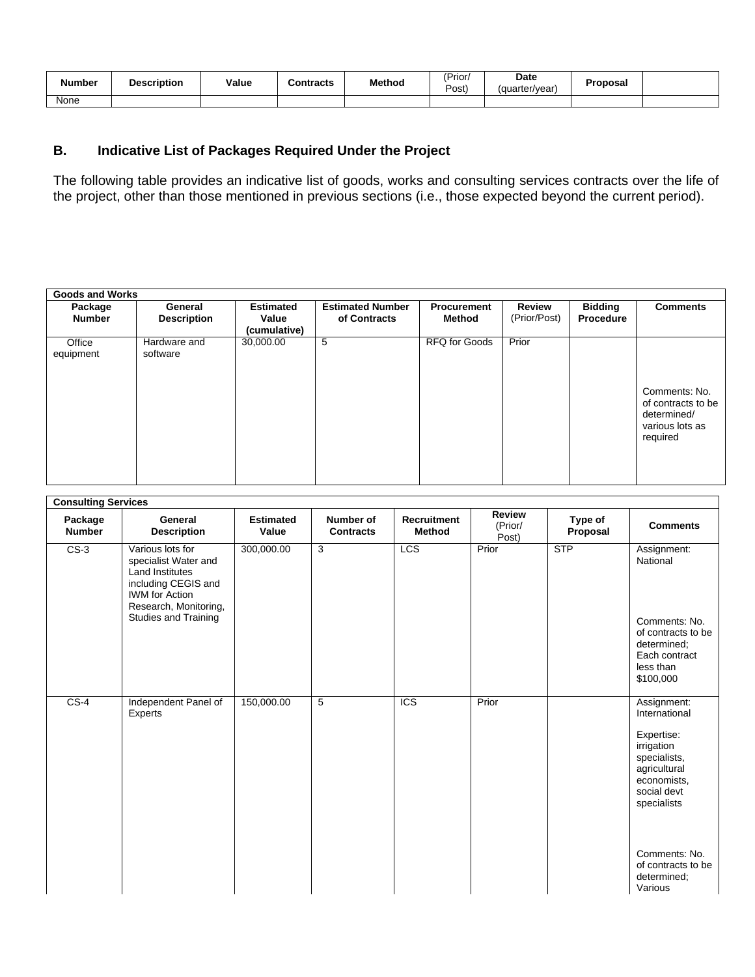| Number | <b>Description</b> | Value | Contracts | <b>Method</b> | (Prior/<br>Post) | Date<br>(quarter/year) | Proposal |  |
|--------|--------------------|-------|-----------|---------------|------------------|------------------------|----------|--|
| None   |                    |       |           |               |                  |                        |          |  |

# **B. Indicative List of Packages Required Under the Project**

The following table provides an indicative list of goods, works and consulting services contracts over the life of the project, other than those mentioned in previous sections (i.e., those expected beyond the current period).

| <b>Goods and Works</b>   |                               |                                           |                                         |                              |                               |                             |                                                                                   |
|--------------------------|-------------------------------|-------------------------------------------|-----------------------------------------|------------------------------|-------------------------------|-----------------------------|-----------------------------------------------------------------------------------|
| Package<br><b>Number</b> | General<br><b>Description</b> | <b>Estimated</b><br>Value<br>(cumulative) | <b>Estimated Number</b><br>of Contracts | <b>Procurement</b><br>Method | <b>Review</b><br>(Prior/Post) | <b>Bidding</b><br>Procedure | <b>Comments</b>                                                                   |
| Office<br>equipment      | Hardware and<br>software      | 30,000.00                                 | 5                                       | <b>RFQ for Goods</b>         | Prior                         |                             | Comments: No.<br>of contracts to be<br>determined/<br>various lots as<br>required |

| <b>Consulting Services</b> |                                                                                                                                                                            |                           |                               |                                     |                                   |                     |                                                                                                                                                                                                        |
|----------------------------|----------------------------------------------------------------------------------------------------------------------------------------------------------------------------|---------------------------|-------------------------------|-------------------------------------|-----------------------------------|---------------------|--------------------------------------------------------------------------------------------------------------------------------------------------------------------------------------------------------|
| Package<br><b>Number</b>   | General<br><b>Description</b>                                                                                                                                              | <b>Estimated</b><br>Value | Number of<br><b>Contracts</b> | <b>Recruitment</b><br><b>Method</b> | <b>Review</b><br>(Prior/<br>Post) | Type of<br>Proposal | <b>Comments</b>                                                                                                                                                                                        |
| $CS-3$                     | Various lots for<br>specialist Water and<br><b>Land Institutes</b><br>including CEGIS and<br><b>IWM</b> for Action<br>Research, Monitoring,<br><b>Studies and Training</b> | 300,000.00                | 3                             | LCS                                 | Prior                             | STP                 | Assignment:<br>National<br>Comments: No.<br>of contracts to be<br>determined;<br>Each contract<br>less than<br>\$100,000                                                                               |
| $CS-4$                     | Independent Panel of<br>Experts                                                                                                                                            | 150,000.00                | 5                             | <b>ICS</b>                          | Prior                             |                     | Assignment:<br>International<br>Expertise:<br>irrigation<br>specialists,<br>agricultural<br>economists.<br>social devt<br>specialists<br>Comments: No.<br>of contracts to be<br>determined;<br>Various |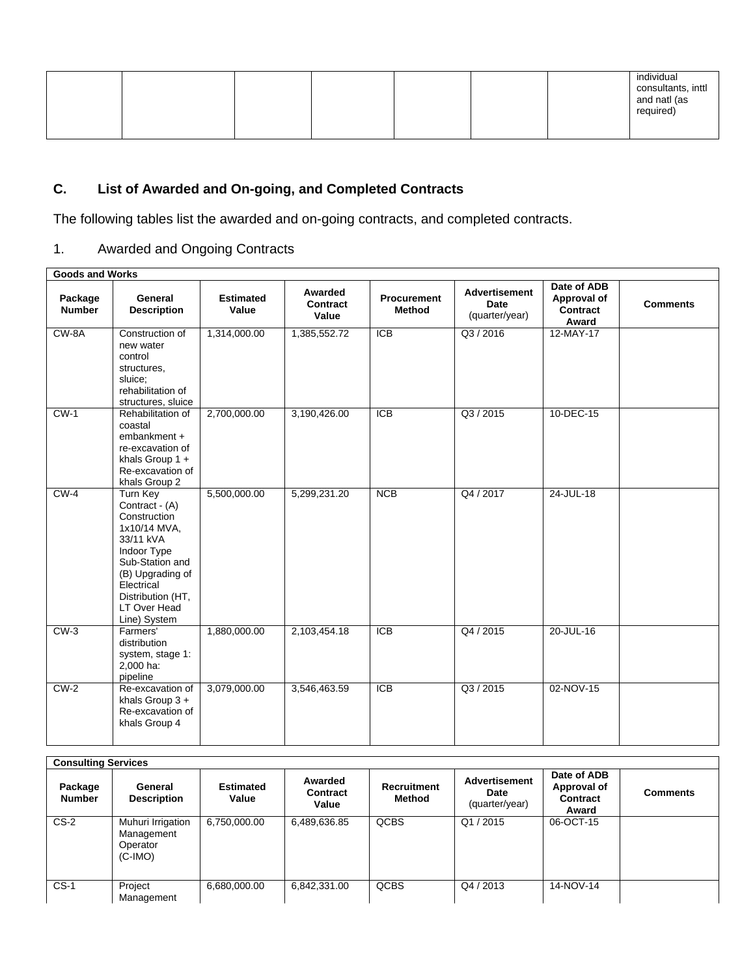|  |  | individual<br>consultants, inttl<br>and natl (as<br>required) |
|--|--|---------------------------------------------------------------|
|--|--|---------------------------------------------------------------|

# **C. List of Awarded and On-going, and Completed Contracts**

The following tables list the awarded and on-going contracts, and completed contracts.

# 1. Awarded and Ongoing Contracts

| <b>Goods and Works</b>   |                                                                                                                                                                                                  |                           |                              |                                     |                                                       |                                                 |                 |  |  |
|--------------------------|--------------------------------------------------------------------------------------------------------------------------------------------------------------------------------------------------|---------------------------|------------------------------|-------------------------------------|-------------------------------------------------------|-------------------------------------------------|-----------------|--|--|
| Package<br><b>Number</b> | General<br><b>Description</b>                                                                                                                                                                    | <b>Estimated</b><br>Value | Awarded<br>Contract<br>Value | <b>Procurement</b><br><b>Method</b> | <b>Advertisement</b><br><b>Date</b><br>(quarter/year) | Date of ADB<br>Approval of<br>Contract<br>Award | <b>Comments</b> |  |  |
| $CW-8A$                  | Construction of<br>new water<br>control<br>structures,<br>sluice;<br>rehabilitation of<br>structures, sluice                                                                                     | 1,314,000.00              | 1,385,552.72                 | $\overline{ICB}$                    | Q3/2016                                               | 12-MAY-17                                       |                 |  |  |
| $CW-1$                   | Rehabilitation of<br>coastal<br>embankment +<br>re-excavation of<br>khals Group $1 +$<br>Re-excavation of<br>khals Group 2                                                                       | 2,700,000.00              | 3,190,426.00                 | <b>ICB</b>                          | Q3 / 2015                                             | 10-DEC-15                                       |                 |  |  |
| $CW-4$                   | Turn Key<br>Contract - (A)<br>Construction<br>1x10/14 MVA.<br>33/11 kVA<br>Indoor Type<br>Sub-Station and<br>(B) Upgrading of<br>Electrical<br>Distribution (HT,<br>LT Over Head<br>Line) System | 5,500,000.00              | 5,299,231.20                 | <b>NCB</b>                          | Q4 / 2017                                             | 24-JUL-18                                       |                 |  |  |
| $CW-3$                   | Farmers'<br>distribution<br>system, stage 1:<br>2,000 ha:<br>pipeline                                                                                                                            | 1,880,000.00              | 2,103,454.18                 | <b>ICB</b>                          | Q4 / 2015                                             | 20-JUL-16                                       |                 |  |  |
| $CW-2$                   | Re-excavation of<br>khals Group $3 +$<br>Re-excavation of<br>khals Group 4                                                                                                                       | 3,079,000.00              | 3,546,463.59                 | <b>ICB</b>                          | Q3 / 2015                                             | 02-NOV-15                                       |                 |  |  |

| <b>Consulting Services</b> |                                                          |                           |                              |                              |                                                |                                                 |                 |  |
|----------------------------|----------------------------------------------------------|---------------------------|------------------------------|------------------------------|------------------------------------------------|-------------------------------------------------|-----------------|--|
| Package<br><b>Number</b>   | General<br><b>Description</b>                            | <b>Estimated</b><br>Value | Awarded<br>Contract<br>Value | <b>Recruitment</b><br>Method | <b>Advertisement</b><br>Date<br>(quarter/year) | Date of ADB<br>Approval of<br>Contract<br>Award | <b>Comments</b> |  |
| $CS-2$                     | Muhuri Irrigation<br>Management<br>Operator<br>$(C-IMO)$ | 6,750,000.00              | 6,489,636.85                 | <b>QCBS</b>                  | Q1/2015                                        | 06-OCT-15                                       |                 |  |
| $CS-1$                     | Project<br>Management                                    | 6,680,000.00              | 6,842,331.00                 | <b>QCBS</b>                  | Q4 / 2013                                      | 14-NOV-14                                       |                 |  |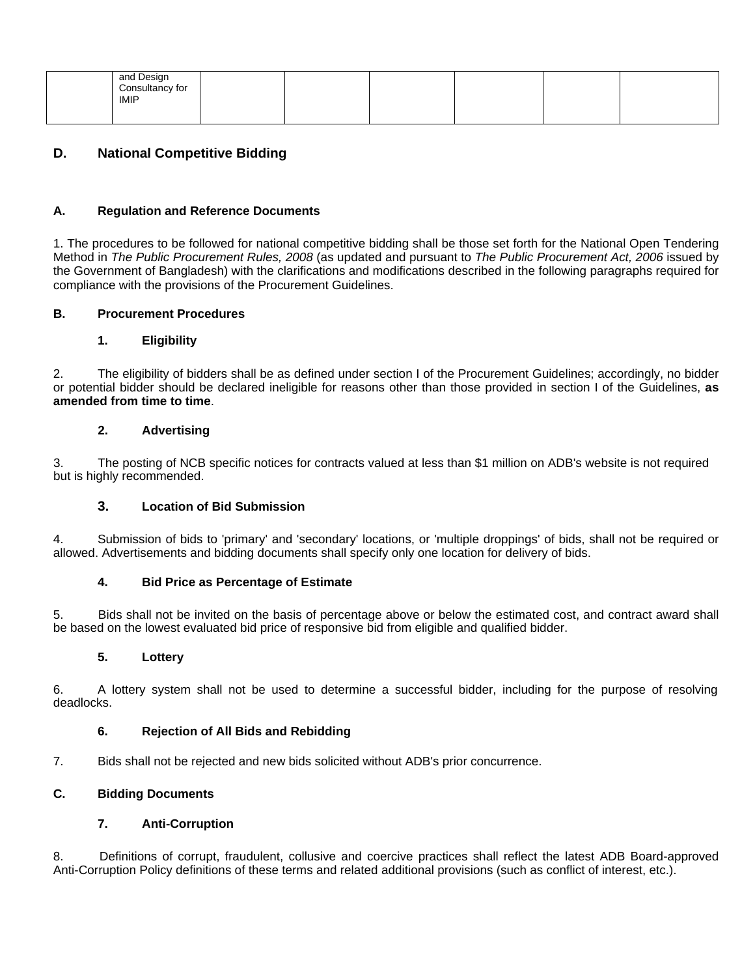| and Design<br>Consultancy for<br>IMIP |  |  |  |
|---------------------------------------|--|--|--|
|                                       |  |  |  |

# **D. National Competitive Bidding**

### **A. Regulation and Reference Documents**

1. The procedures to be followed for national competitive bidding shall be those set forth for the National Open Tendering Method in The Public Procurement Rules, 2008 (as updated and pursuant to The Public Procurement Act, 2006 issued by the Government of Bangladesh) with the clarifications and modifications described in the following paragraphs required for compliance with the provisions of the Procurement Guidelines.

### **B. Procurement Procedures**

### **1. Eligibility**

2. The eligibility of bidders shall be as defined under section I of the Procurement Guidelines; accordingly, no bidder or potential bidder should be declared ineligible for reasons other than those provided in section I of the Guidelines, **as amended from time to time**.

### **2. Advertising**

3. The posting of NCB specific notices for contracts valued at less than \$1 million on ADB's website is not required but is highly recommended.

#### **3. Location of Bid Submission**

4. Submission of bids to 'primary' and 'secondary' locations, or 'multiple droppings' of bids, shall not be required or allowed. Advertisements and bidding documents shall specify only one location for delivery of bids.

#### **4. Bid Price as Percentage of Estimate**

5. Bids shall not be invited on the basis of percentage above or below the estimated cost, and contract award shall be based on the lowest evaluated bid price of responsive bid from eligible and qualified bidder.

#### **5. Lottery**

6. A lottery system shall not be used to determine a successful bidder, including for the purpose of resolving deadlocks.

#### **6. Rejection of All Bids and Rebidding**

7. Bids shall not be rejected and new bids solicited without ADB's prior concurrence.

## **C. Bidding Documents**

#### **7. Anti-Corruption**

8. Definitions of corrupt, fraudulent, collusive and coercive practices shall reflect the latest ADB Board-approved Anti-Corruption Policy definitions of these terms and related additional provisions (such as conflict of interest, etc.).